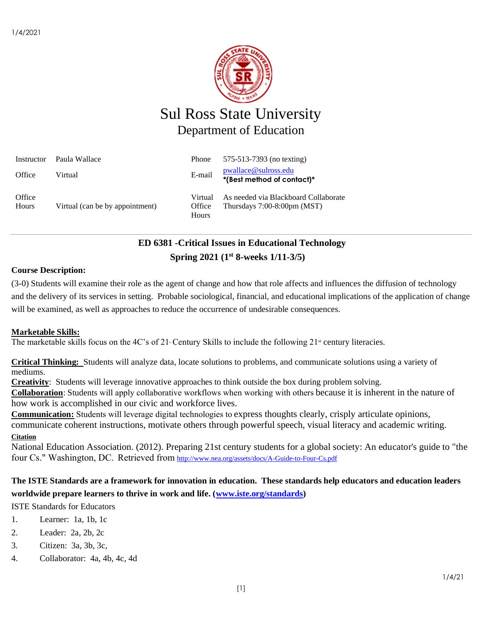

# Sul Ross State University Department of Education

| Instructor      | Paula Wallace                   | Phone                      | 575-513-7393 (no texting)                                              |
|-----------------|---------------------------------|----------------------------|------------------------------------------------------------------------|
| Office          | Virtual                         | E-mail                     | pwallace@sulross.edu<br>*(Best method of contact)*                     |
| Office<br>Hours | Virtual (can be by appointment) | Virtual<br>Office<br>Hours | As needed via Blackboard Collaborate<br>Thursdays $7:00-8:00$ pm (MST) |

## **ED 6381 -Critical Issues in Educational Technology Spring 2021 (1 st 8-weeks 1/11-3/5)**

## **Course Description:**

(3-0) Students will examine their role as the agent of change and how that role affects and influences the diffusion of technology and the delivery of its services in setting. Probable sociological, financial, and educational implications of the application of change will be examined, as well as approaches to reduce the occurrence of undesirable consequences.

## **Marketable Skills:**

The marketable skills focus on the 4C's of 21 Century Skills to include the following  $21^{\text{st}}$  century literacies.

**Critical Thinking:** Students will analyze data, locate solutions to problems, and communicate solutions using a variety of mediums.

**Creativity**: Students will leverage innovative approaches to think outside the box during problem solving.

**Collaboration**: Students will apply collaborative workflows when working with others because it is inherent in the nature of how work is accomplished in our civic and workforce lives.

**Communication:** Students will leverage digital technologies to express thoughts clearly, crisply articulate opinions, communicate coherent instructions, motivate others through powerful speech, visual literacy and academic writing. **Citation**

National Education Association. (2012). Preparing 21st century students for a global society: An educator's guide to "the four Cs." Washington, DC.  Retrieved from <http://www.nea.org/assets/docs/A-Guide-to-Four-Cs.pdf>

## **The ISTE Standards are a framework for innovation in education. These standards help educators and education leaders worldwide prepare learners to thrive in work and life. [\(www.iste.org/standards\)](http://www.iste.org/standards)**

ISTE Standards for Educators

- 1. Learner: 1a, 1b, 1c
- 2. Leader: 2a, 2b, 2c
- 3. Citizen: 3a, 3b, 3c,
- 4. Collaborator: 4a, 4b, 4c, 4d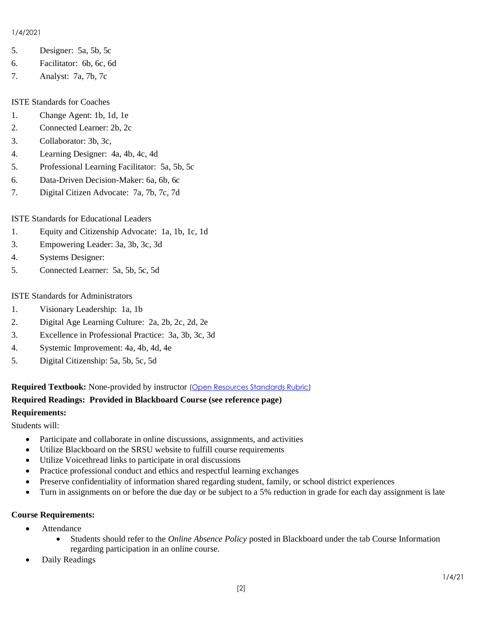#### 1/4/2021

- 5. Designer: 5a, 5b, 5c
- 6. Facilitator: 6b, 6c, 6d
- 7. Analyst: 7a, 7b, 7c

## ISTE Standards for Coaches

- 1. Change Agent: 1b, 1d, 1e
- 2. Connected Learner: 2b, 2c
- 3. Collaborator: 3b, 3c,
- 4. Learning Designer: 4a, 4b, 4c, 4d
- 5. Professional Learning Facilitator: 5a, 5b, 5c
- 6. Data-Driven Decision-Maker: 6a, 6b, 6c
- 7. Digital Citizen Advocate: 7a, 7b, 7c, 7d

## ISTE Standards for Educational Leaders

- 1. Equity and Citizenship Advocate: 1a, 1b, 1c, 1d
- 3. Empowering Leader: 3a, 3b, 3c, 3d
- 4. Systems Designer:
- 5. Connected Learner: 5a, 5b, 5c, 5d

## ISTE Standards for Administrators

- 1. Visionary Leadership: 1a, 1b
- 2. Digital Age Learning Culture: 2a, 2b, 2c, 2d, 2e
- 3. Excellence in Professional Practice: 3a, 3b, 3c, 3d
- 4. Systemic Improvement: 4a, 4b, 4d, 4e
- 5. Digital Citizenship: 5a, 5b, 5c, 5d

**Required Textbook:** None-provided by instructor [\(Open Resources Standards Rubric\)](https://www.achieve.org/files/AchieveOERRubrics.pdf)

#### **Required Readings: Provided in Blackboard Course (see reference page) Requirements:**

Students will:

- Participate and collaborate in online discussions, assignments, and activities
- Utilize Blackboard on the SRSU website to fulfill course requirements
- Utilize Voicethread links to participate in oral discussions
- Practice professional conduct and ethics and respectful learning exchanges
- Preserve confidentiality of information shared regarding student, family, or school district experiences
- Turn in assignments on or before the due day or be subject to a 5% reduction in grade for each day assignment is late

## **Course Requirements:**

- Attendance
	- Students should refer to the *Online Absence Policy* posted in Blackboard under the tab Course Information regarding participation in an online course.
- Daily Readings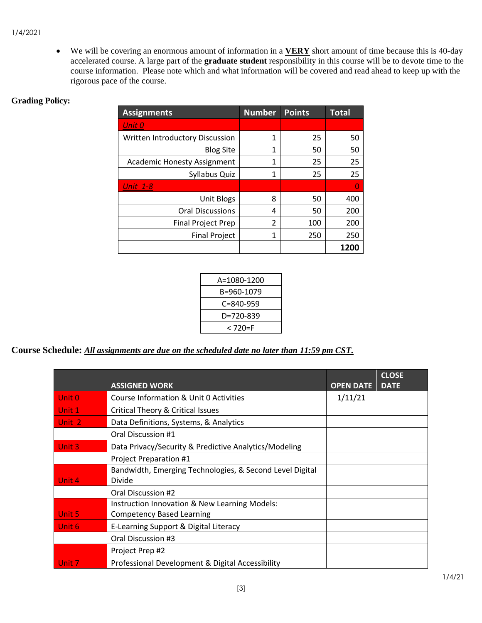• We will be covering an enormous amount of information in a **VERY** short amount of time because this is 40-day accelerated course. A large part of the **graduate student** responsibility in this course will be to devote time to the course information. Please note which and what information will be covered and read ahead to keep up with the rigorous pace of the course.

## **Grading Policy:**

| <b>Assignments</b>                 | <b>Number</b> | <b>Points</b> | <b>Total</b> |
|------------------------------------|---------------|---------------|--------------|
| Unit 0                             |               |               |              |
| Written Introductory Discussion    | 1             | 25            | 50           |
| <b>Blog Site</b>                   | 1             | 50            | 50           |
| <b>Academic Honesty Assignment</b> | 1             | 25            | 25           |
| Syllabus Quiz                      | 1             | 25            | 25           |
| <b>Unit 1-8</b>                    |               |               | O            |
| <b>Unit Blogs</b>                  | 8             | 50            | 400          |
| <b>Oral Discussions</b>            | 4             | 50            | 200          |
| <b>Final Project Prep</b>          | 2             | 100           | 200          |
| <b>Final Project</b>               | 1             | 250           | 250          |
|                                    |               |               | 1200         |

| A=1080-1200     |  |
|-----------------|--|
| B=960-1079      |  |
| $C = 840 - 959$ |  |
| D=720-839       |  |
| < 720=F         |  |

**Course Schedule:** *All assignments are due on the scheduled date no later than 11:59 pm CST.* 

|                   | <b>ASSIGNED WORK</b>                                                              | <b>OPEN DATE</b> | <b>CLOSE</b><br><b>DATE</b> |
|-------------------|-----------------------------------------------------------------------------------|------------------|-----------------------------|
| Unit 0            | Course Information & Unit 0 Activities                                            | 1/11/21          |                             |
| Unit 1            | Critical Theory & Critical Issues                                                 |                  |                             |
| Unit 2            | Data Definitions, Systems, & Analytics                                            |                  |                             |
|                   | Oral Discussion #1                                                                |                  |                             |
| Unit <sub>3</sub> | Data Privacy/Security & Predictive Analytics/Modeling                             |                  |                             |
|                   | Project Preparation #1                                                            |                  |                             |
| Unit 4            | Bandwidth, Emerging Technologies, & Second Level Digital<br>Divide                |                  |                             |
|                   | Oral Discussion #2                                                                |                  |                             |
| Unit 5            | Instruction Innovation & New Learning Models:<br><b>Competency Based Learning</b> |                  |                             |
| Unit <sub>6</sub> | E-Learning Support & Digital Literacy                                             |                  |                             |
|                   | Oral Discussion #3                                                                |                  |                             |
|                   | Project Prep #2                                                                   |                  |                             |
| Unit 7            | Professional Development & Digital Accessibility                                  |                  |                             |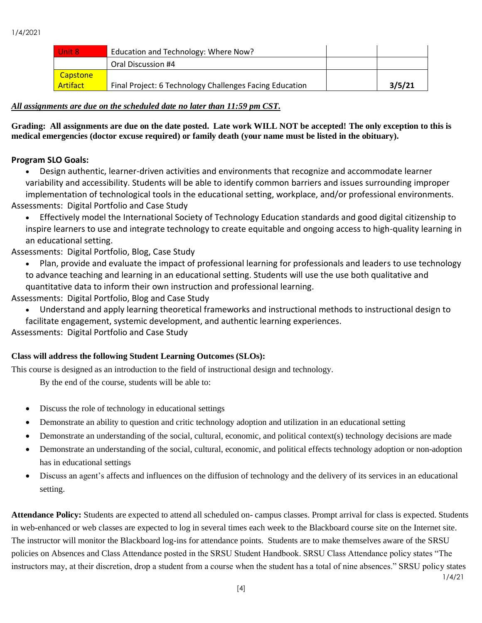| Unit 8          | Education and Technology: Where Now?                    |        |
|-----------------|---------------------------------------------------------|--------|
|                 | Oral Discussion #4                                      |        |
| Capstone        |                                                         |        |
| <b>Artifact</b> | Final Project: 6 Technology Challenges Facing Education | 3/5/21 |

## *All assignments are due on the scheduled date no later than 11:59 pm CST.*

**Grading: All assignments are due on the date posted. Late work WILL NOT be accepted! The only exception to this is medical emergencies (doctor excuse required) or family death (your name must be listed in the obituary).** 

## **Program SLO Goals:**

• Design authentic, learner-driven activities and environments that recognize and accommodate learner variability and accessibility. Students will be able to identify common barriers and issues surrounding improper implementation of technological tools in the educational setting, workplace, and/or professional environments. Assessments: Digital Portfolio and Case Study

• Effectively model the International Society of Technology Education standards and good digital citizenship to inspire learners to use and integrate technology to create equitable and ongoing access to high-quality learning in an educational setting.

## Assessments: Digital Portfolio, Blog, Case Study

- Plan, provide and evaluate the impact of professional learning for professionals and leaders to use technology to advance teaching and learning in an educational setting. Students will use the use both qualitative and quantitative data to inform their own instruction and professional learning.
- Assessments: Digital Portfolio, Blog and Case Study
	- Understand and apply learning theoretical frameworks and instructional methods to instructional design to facilitate engagement, systemic development, and authentic learning experiences.

Assessments: Digital Portfolio and Case Study

## **Class will address the following Student Learning Outcomes (SLOs):**

This course is designed as an introduction to the field of instructional design and technology.

By the end of the course, students will be able to:

- Discuss the role of technology in educational settings
- Demonstrate an ability to question and critic technology adoption and utilization in an educational setting
- Demonstrate an understanding of the social, cultural, economic, and political context(s) technology decisions are made
- Demonstrate an understanding of the social, cultural, economic, and political effects technology adoption or non-adoption has in educational settings
- Discuss an agent's affects and influences on the diffusion of technology and the delivery of its services in an educational setting.

**Attendance Policy:** Students are expected to attend all scheduled on- campus classes. Prompt arrival for class is expected. Students in web-enhanced or web classes are expected to log in several times each week to the Blackboard course site on the Internet site. The instructor will monitor the Blackboard log-ins for attendance points. Students are to make themselves aware of the SRSU policies on Absences and Class Attendance posted in the SRSU Student Handbook. SRSU Class Attendance policy states "The instructors may, at their discretion, drop a student from a course when the student has a total of nine absences." SRSU policy states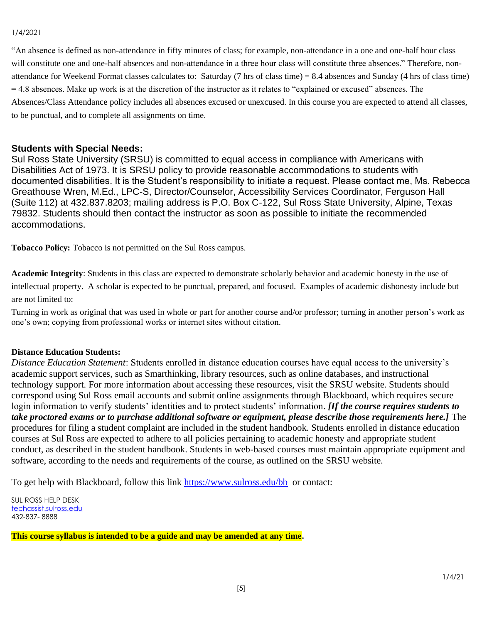#### 1/4/2021

"An absence is defined as non-attendance in fifty minutes of class; for example, non-attendance in a one and one-half hour class will constitute one and one-half absences and non-attendance in a three hour class will constitute three absences." Therefore, nonattendance for Weekend Format classes calculates to: Saturday (7 hrs of class time) = 8.4 absences and Sunday (4 hrs of class time)  $= 4.8$  absences. Make up work is at the discretion of the instructor as it relates to "explained or excused" absences. The Absences/Class Attendance policy includes all absences excused or unexcused. In this course you are expected to attend all classes, to be punctual, and to complete all assignments on time.

## **Students with Special Needs:**

Sul Ross State University (SRSU) is committed to equal access in compliance with Americans with Disabilities Act of 1973. It is SRSU policy to provide reasonable accommodations to students with documented disabilities. It is the Student's responsibility to initiate a request. Please contact me, Ms. Rebecca Greathouse Wren, M.Ed., LPC-S, Director/Counselor, Accessibility Services Coordinator, Ferguson Hall (Suite 112) at 432.837.8203; mailing address is P.O. Box C-122, Sul Ross State University, Alpine, Texas 79832. Students should then contact the instructor as soon as possible to initiate the recommended accommodations.

**Tobacco Policy:** Tobacco is not permitted on the Sul Ross campus.

**Academic Integrity**: Students in this class are expected to demonstrate scholarly behavior and academic honesty in the use of intellectual property. A scholar is expected to be punctual, prepared, and focused. Examples of academic dishonesty include but are not limited to:

Turning in work as original that was used in whole or part for another course and/or professor; turning in another person's work as one's own; copying from professional works or internet sites without citation.

## **Distance Education Students:**

*Distance Education Statement*: Students enrolled in distance education courses have equal access to the university's academic support services, such as Smarthinking, library resources, such as online databases, and instructional technology support. For more information about accessing these resources, visit the SRSU website. Students should correspond using Sul Ross email accounts and submit online assignments through Blackboard, which requires secure login information to verify students' identities and to protect students' information. *[If the course requires students to take proctored exams or to purchase additional software or equipment, please describe those requirements here.]* The procedures for filing a student complaint are included in the student handbook. Students enrolled in distance education courses at Sul Ross are expected to adhere to all policies pertaining to academic honesty and appropriate student conduct, as described in the student handbook. Students in web-based courses must maintain appropriate equipment and software, according to the needs and requirements of the course, as outlined on the SRSU website.

To get help with Blackboard, follow this link<https://www.sulross.edu/bb>or contact:

SUL ROSS HELP DESK [techassist.sulross.edu](https://techassist.sulross.edu/) 432-837- 8888

**This course syllabus is intended to be a guide and may be amended at any time.**